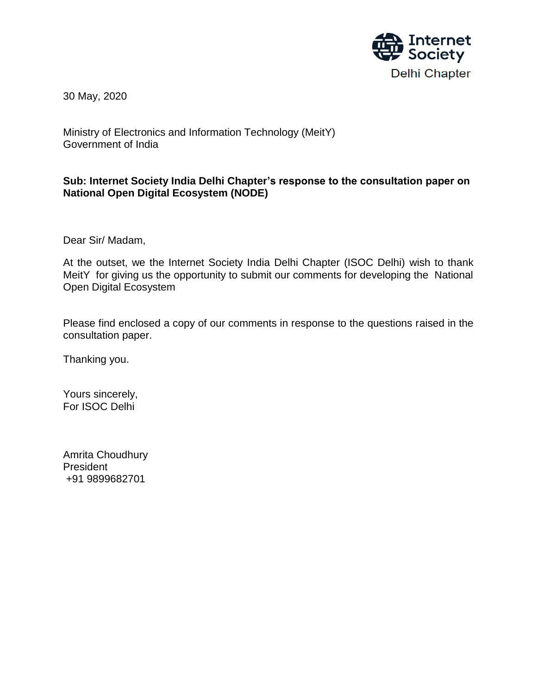

30 May, 2020

Ministry of Electronics and Information Technology (MeitY) Government of India

### **Sub: Internet Society India Delhi Chapter's response to the consultation paper on National Open Digital Ecosystem (NODE)**

Dear Sir/ Madam,

At the outset, we the Internet Society India Delhi Chapter (ISOC Delhi) wish to thank MeitY for giving us the opportunity to submit our comments for developing the National Open Digital Ecosystem

Please find enclosed a copy of our comments in response to the questions raised in the consultation paper.

Thanking you.

Yours sincerely, For ISOC Delhi

Amrita Choudhury President +91 9899682701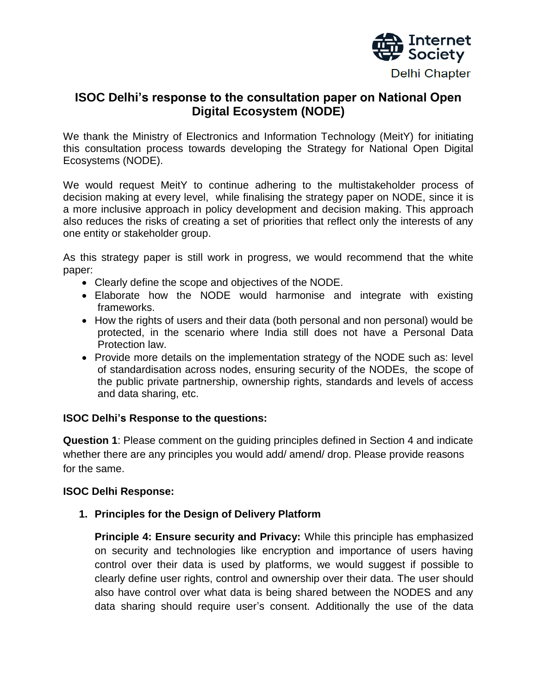

# **ISOC Delhi's response to the consultation paper on National Open Digital Ecosystem (NODE)**

We thank the Ministry of Electronics and Information Technology (MeitY) for initiating this consultation process towards developing the Strategy for National Open Digital Ecosystems (NODE).

We would request MeitY to continue adhering to the multistakeholder process of decision making at every level, while finalising the strategy paper on NODE, since it is a more inclusive approach in policy development and decision making. This approach also reduces the risks of creating a set of priorities that reflect only the interests of any one entity or stakeholder group.

As this strategy paper is still work in progress, we would recommend that the white paper:

- Clearly define the scope and objectives of the NODE.
- Elaborate how the NODE would harmonise and integrate with existing frameworks.
- How the rights of users and their data (both personal and non personal) would be protected, in the scenario where India still does not have a Personal Data Protection law.
- Provide more details on the implementation strategy of the NODE such as: level of standardisation across nodes, ensuring security of the NODEs, the scope of the public private partnership, ownership rights, standards and levels of access and data sharing, etc.

#### **ISOC Delhi's Response to the questions:**

**Question 1**: Please comment on the guiding principles defined in Section 4 and indicate whether there are any principles you would add/ amend/ drop. Please provide reasons for the same.

#### **ISOC Delhi Response:**

**1. Principles for the Design of Delivery Platform**

**Principle 4: Ensure security and Privacy:** While this principle has emphasized on security and technologies like encryption and importance of users having control over their data is used by platforms, we would suggest if possible to clearly define user rights, control and ownership over their data. The user should also have control over what data is being shared between the NODES and any data sharing should require user"s consent. Additionally the use of the data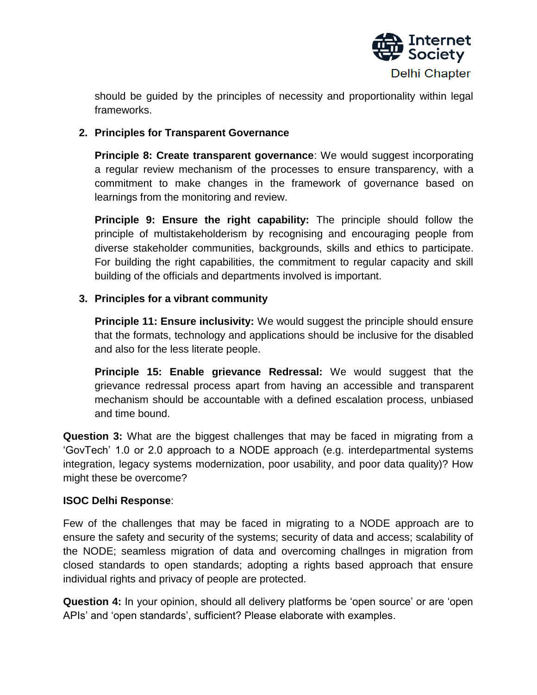

should be guided by the principles of necessity and proportionality within legal frameworks.

## **2. Principles for Transparent Governance**

**Principle 8: Create transparent governance**: We would suggest incorporating a regular review mechanism of the processes to ensure transparency, with a commitment to make changes in the framework of governance based on learnings from the monitoring and review.

**Principle 9: Ensure the right capability:** The principle should follow the principle of multistakeholderism by recognising and encouraging people from diverse stakeholder communities, backgrounds, skills and ethics to participate. For building the right capabilities, the commitment to regular capacity and skill building of the officials and departments involved is important.

## **3. Principles for a vibrant community**

**Principle 11: Ensure inclusivity:** We would suggest the principle should ensure that the formats, technology and applications should be inclusive for the disabled and also for the less literate people.

**Principle 15: Enable grievance Redressal:** We would suggest that the grievance redressal process apart from having an accessible and transparent mechanism should be accountable with a defined escalation process, unbiased and time bound.

**Question 3:** What are the biggest challenges that may be faced in migrating from a "GovTech" 1.0 or 2.0 approach to a NODE approach (e.g. interdepartmental systems integration, legacy systems modernization, poor usability, and poor data quality)? How might these be overcome?

#### **ISOC Delhi Response**:

Few of the challenges that may be faced in migrating to a NODE approach are to ensure the safety and security of the systems; security of data and access; scalability of the NODE; seamless migration of data and overcoming challnges in migration from closed standards to open standards; adopting a rights based approach that ensure individual rights and privacy of people are protected.

**Question 4:** In your opinion, should all delivery platforms be 'open source' or are 'open APIs" and "open standards", sufficient? Please elaborate with examples.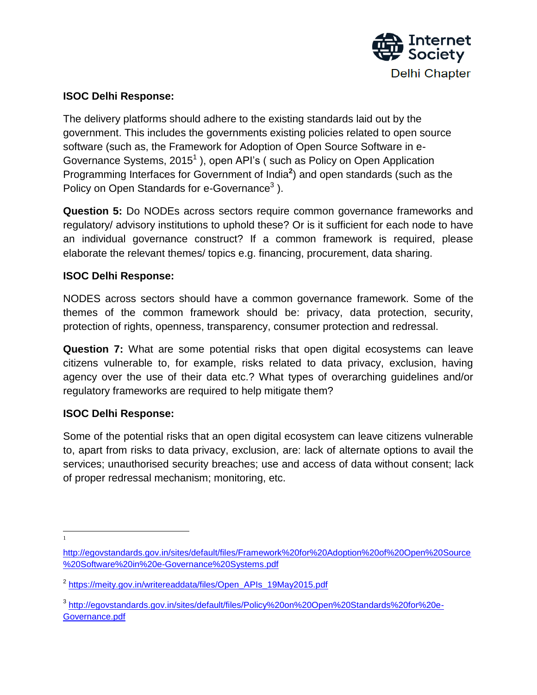

### **ISOC Delhi Response:**

The delivery platforms should adhere to the existing standards laid out by the government. This includes the governments existing policies related to open source software (such as, the Framework for Adoption of Open Source Software in e-Governance Systems, 2015<sup>1</sup>), open API's (such as Policy on Open Application Programming Interfaces for Government of India**<sup>2</sup>** ) and open standards (such as the Policy on Open Standards for e-Governance<sup>3</sup>).

**Question 5:** Do NODEs across sectors require common governance frameworks and regulatory/ advisory institutions to uphold these? Or is it sufficient for each node to have an individual governance construct? If a common framework is required, please elaborate the relevant themes/ topics e.g. financing, procurement, data sharing.

#### **ISOC Delhi Response:**

NODES across sectors should have a common governance framework. Some of the themes of the common framework should be: privacy, data protection, security, protection of rights, openness, transparency, consumer protection and redressal.

**Question 7:** What are some potential risks that open digital ecosystems can leave citizens vulnerable to, for example, risks related to data privacy, exclusion, having agency over the use of their data etc.? What types of overarching guidelines and/or regulatory frameworks are required to help mitigate them?

#### **ISOC Delhi Response:**

Some of the potential risks that an open digital ecosystem can leave citizens vulnerable to, apart from risks to data privacy, exclusion, are: lack of alternate options to avail the services; unauthorised security breaches; use and access of data without consent; lack of proper redressal mechanism; monitoring, etc.

 $\overline{\phantom{a}}$ 1

[http://egovstandards.gov.in/sites/default/files/Framework%20for%20Adoption%20of%20Open%20Source](http://egovstandards.gov.in/sites/default/files/Framework%20for%20Adoption%20of%20Open%20Source%20Software%20in%20e-Governance%20Systems.pdf) [%20Software%20in%20e-Governance%20Systems.pdf](http://egovstandards.gov.in/sites/default/files/Framework%20for%20Adoption%20of%20Open%20Source%20Software%20in%20e-Governance%20Systems.pdf)

<sup>&</sup>lt;sup>2</sup> [https://meity.gov.in/writereaddata/files/Open\\_APIs\\_19May2015.pdf](https://meity.gov.in/writereaddata/files/Open_APIs_19May2015.pdf)

<sup>&</sup>lt;sup>3</sup> [http://egovstandards.gov.in/sites/default/files/Policy%20on%20Open%20Standards%20for%20e-](http://egovstandards.gov.in/sites/default/files/Policy%20on%20Open%20Standards%20for%20e-Governance.pdf)[Governance.pdf](http://egovstandards.gov.in/sites/default/files/Policy%20on%20Open%20Standards%20for%20e-Governance.pdf)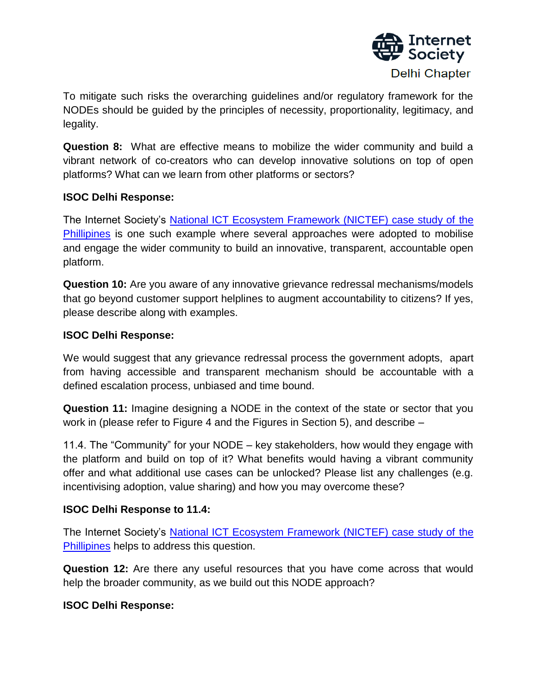

To mitigate such risks the overarching guidelines and/or regulatory framework for the NODEs should be guided by the principles of necessity, proportionality, legitimacy, and legality.

**Question 8:** What are effective means to mobilize the wider community and build a vibrant network of co-creators who can develop innovative solutions on top of open platforms? What can we learn from other platforms or sectors?

#### **ISOC Delhi Response:**

The Internet Society"s [National ICT Ecosystem Framework \(NICTEF\) case study of the](https://www.internetsociety.org/wp-content/uploads/2019/11/NICTEF-Case-Study_EN.pdf)  [Phillipines](https://www.internetsociety.org/wp-content/uploads/2019/11/NICTEF-Case-Study_EN.pdf) is one such example where several approaches were adopted to mobilise and engage the wider community to build an innovative, transparent, accountable open platform.

**Question 10:** Are you aware of any innovative grievance redressal mechanisms/models that go beyond customer support helplines to augment accountability to citizens? If yes, please describe along with examples.

### **ISOC Delhi Response:**

We would suggest that any grievance redressal process the government adopts, apart from having accessible and transparent mechanism should be accountable with a defined escalation process, unbiased and time bound.

**Question 11:** Imagine designing a NODE in the context of the state or sector that you work in (please refer to Figure 4 and the Figures in Section 5), and describe –

11.4. The "Community" for your NODE – key stakeholders, how would they engage with the platform and build on top of it? What benefits would having a vibrant community offer and what additional use cases can be unlocked? Please list any challenges (e.g. incentivising adoption, value sharing) and how you may overcome these?

#### **ISOC Delhi Response to 11.4:**

The Internet Society"s [National ICT Ecosystem Framework \(NICTEF\) case study of the](https://www.internetsociety.org/wp-content/uploads/2019/11/NICTEF-Case-Study_EN.pdf)  [Phillipines](https://www.internetsociety.org/wp-content/uploads/2019/11/NICTEF-Case-Study_EN.pdf) helps to address this question.

**Question 12:** Are there any useful resources that you have come across that would help the broader community, as we build out this NODE approach?

#### **ISOC Delhi Response:**